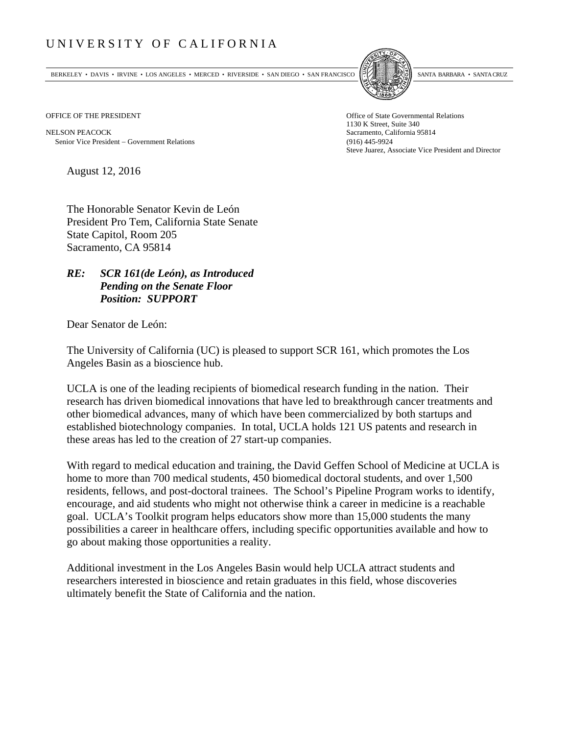## UNIVERSITY OF CALIFORNIA

BERKELEY • DAVIS • IRVINE • LOS ANGELES • MERCED • RIVERSIDE • SAN DIEGO • SAN FRANCISCO SANTA BARBARA • SANTA CRUZ



NELSON PEACOCK Sacramento, California 95814 Senior Vice President Government Relations (916) 445-9924

OFFICE OF THE PRESIDENT STATES OF THE PRESIDENT 1130 K Street, Suite 340 Steve Juarez, Associate Vice President and Director

August 12, 2016

The Honorable Senator Kevin de León President Pro Tem, California State Senate State Capitol, Room 205 Sacramento, CA 95814

## *RE: SCR 161(de León), as Introduced Pending on the Senate Floor Position: SUPPORT*

Dear Senator de León:

The University of California (UC) is pleased to support SCR 161, which promotes the Los Angeles Basin as a bioscience hub.

UCLA is one of the leading recipients of biomedical research funding in the nation. Their research has driven biomedical innovations that have led to breakthrough cancer treatments and other biomedical advances, many of which have been commercialized by both startups and established biotechnology companies. In total, UCLA holds 121 US patents and research in these areas has led to the creation of 27 start-up companies.

With regard to medical education and training, the David Geffen School of Medicine at UCLA is home to more than 700 medical students, 450 biomedical doctoral students, and over 1,500 residents, fellows, and post-doctoral trainees. The School's Pipeline Program works to identify, encourage, and aid students who might not otherwise think a career in medicine is a reachable goal. UCLA's Toolkit program helps educators show more than 15,000 students the many possibilities a career in healthcare offers, including specific opportunities available and how to go about making those opportunities a reality.

Additional investment in the Los Angeles Basin would help UCLA attract students and researchers interested in bioscience and retain graduates in this field, whose discoveries ultimately benefit the State of California and the nation.